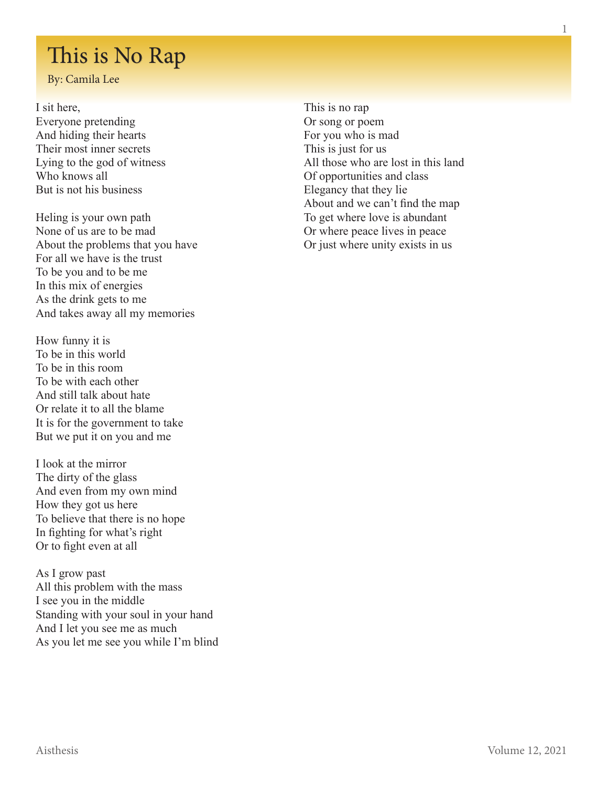## This is No Rap

By: Camila Lee

I sit here, Everyone pretending And hiding their hearts Their most inner secrets Lying to the god of witness Who knows all But is not his business

Heling is your own path None of us are to be mad About the problems that you have For all we have is the trust To be you and to be me In this mix of energies As the drink gets to me And takes away all my memories

How funny it is To be in this world To be in this room To be with each other And still talk about hate Or relate it to all the blame It is for the government to take But we put it on you and me

I look at the mirror The dirty of the glass And even from my own mind How they got us here To believe that there is no hope In fighting for what's right Or to fight even at all

As I grow past All this problem with the mass I see you in the middle Standing with your soul in your hand And I let you see me as much As you let me see you while I'm blind

This is no rap Or song or poem For you who is mad This is just for us All those who are lost in this land Of opportunities and class Elegancy that they lie About and we can't find the map To get where love is abundant Or where peace lives in peace Or just where unity exists in us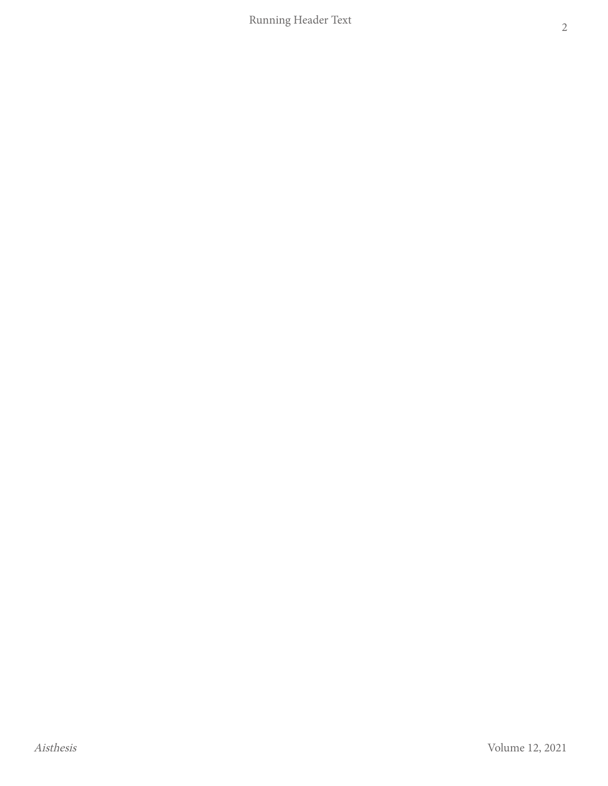Running Header Text